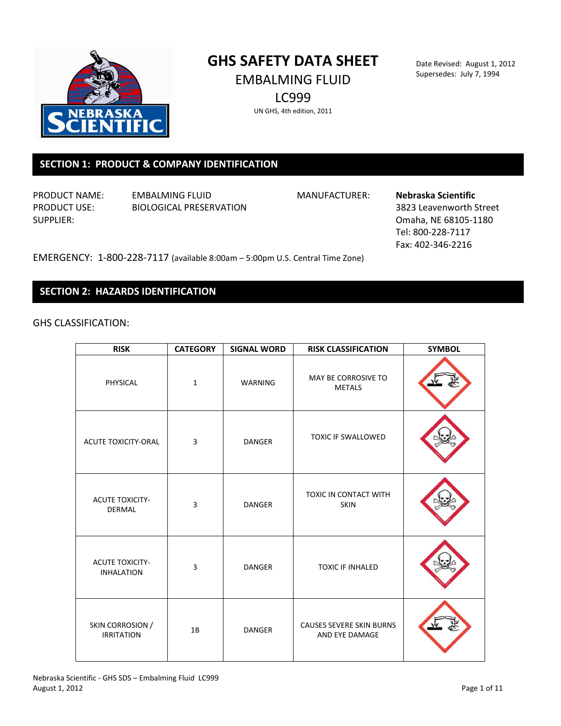

# **GHS SAFETY DATA SHEET** EMBALMING FLUID

LC999

Date Revised: August 1, 2012 Supersedes: July 7, 1994

UN GHS, 4th edition, 2011

## **SECTION 1: PRODUCT & COMPANY IDENTIFICATION**

PRODUCT NAME: EMBALMING FLUID MANUFACTURER: **Nebraska Scientific** PRODUCT USE: BIOLOGICAL PRESERVATION 3823 Leavenworth Street

SUPPLIER: COMPONENT CONTROLLER: COMPONENT COMPLETE: COMPONENT COMPONENT COMPONENT COMPONENT COMPONENT COMPONENT COMPONENT COMPONENT COMPONENT COMPONENT COMPONENT COMPONENT COMPONENT COMPONENT COMPONENT COMPONENT COMPONENT Tel: 800-228-7117 Fax: 402-346-2216

EMERGENCY: 1-800-228-7117 (available 8:00am – 5:00pm U.S. Central Time Zone)

## **SECTION 2: HAZARDS IDENTIFICATION**

GHS CLASSIFICATION:

| <b>RISK</b>                                 | <b>CATEGORY</b> | <b>SIGNAL WORD</b> | <b>RISK CLASSIFICATION</b>                 | <b>SYMBOL</b> |
|---------------------------------------------|-----------------|--------------------|--------------------------------------------|---------------|
| PHYSICAL                                    | $\mathbf{1}$    | WARNING            | MAY BE CORROSIVE TO<br><b>METALS</b>       |               |
| <b>ACUTE TOXICITY-ORAL</b>                  | 3               | <b>DANGER</b>      | <b>TOXIC IF SWALLOWED</b>                  |               |
| <b>ACUTE TOXICITY-</b><br><b>DERMAL</b>     | 3               | <b>DANGER</b>      | TOXIC IN CONTACT WITH<br><b>SKIN</b>       |               |
| <b>ACUTE TOXICITY-</b><br><b>INHALATION</b> | 3               | <b>DANGER</b>      | <b>TOXIC IF INHALED</b>                    |               |
| SKIN CORROSION /<br><b>IRRITATION</b>       | 1B              | <b>DANGER</b>      | CAUSES SEVERE SKIN BURNS<br>AND EYE DAMAGE |               |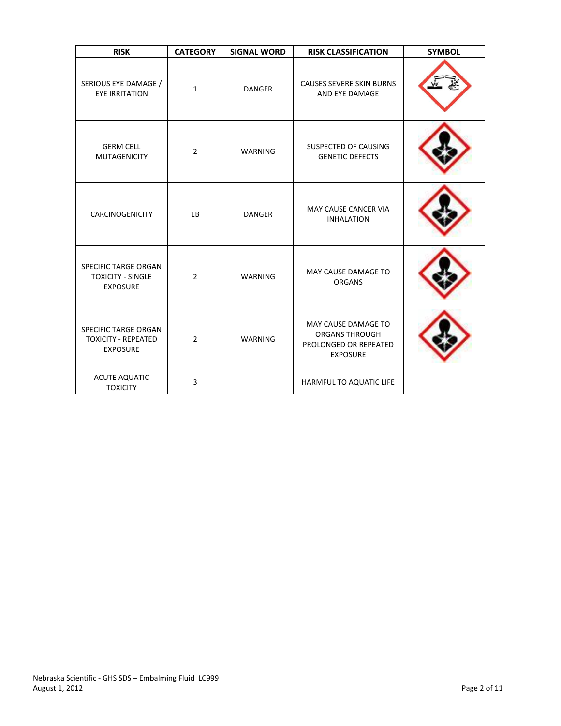| <b>RISK</b>                                                                | <b>CATEGORY</b>                                                                    | <b>SIGNAL WORD</b>                                                | <b>RISK CLASSIFICATION</b>                                                               | <b>SYMBOL</b> |
|----------------------------------------------------------------------------|------------------------------------------------------------------------------------|-------------------------------------------------------------------|------------------------------------------------------------------------------------------|---------------|
| SERIOUS EYE DAMAGE /<br><b>EYE IRRITATION</b>                              | $\mathbf{1}$                                                                       | <b>DANGER</b>                                                     | <b>CAUSES SEVERE SKIN BURNS</b><br>AND EYE DAMAGE                                        |               |
| <b>GERM CELL</b><br><b>MUTAGENICITY</b>                                    | SUSPECTED OF CAUSING<br>$\overline{2}$<br><b>WARNING</b><br><b>GENETIC DEFECTS</b> |                                                                   |                                                                                          |               |
| <b>CARCINOGENICITY</b>                                                     | 1B                                                                                 | <b>MAY CAUSE CANCER VIA</b><br><b>DANGER</b><br><b>INHALATION</b> |                                                                                          |               |
| <b>SPECIFIC TARGE ORGAN</b><br><b>TOXICITY - SINGLE</b><br><b>EXPOSURE</b> | $\overline{2}$                                                                     | MAY CAUSE DAMAGE TO<br><b>WARNING</b><br><b>ORGANS</b>            |                                                                                          |               |
| SPECIFIC TARGE ORGAN<br><b>TOXICITY - REPEATED</b><br><b>EXPOSURE</b>      | $\overline{2}$                                                                     | WARNING                                                           | MAY CAUSE DAMAGE TO<br><b>ORGANS THROUGH</b><br>PROLONGED OR REPEATED<br><b>EXPOSURE</b> |               |
| <b>ACUTE AQUATIC</b><br><b>TOXICITY</b>                                    | 3                                                                                  |                                                                   | HARMFUL TO AQUATIC LIFE                                                                  |               |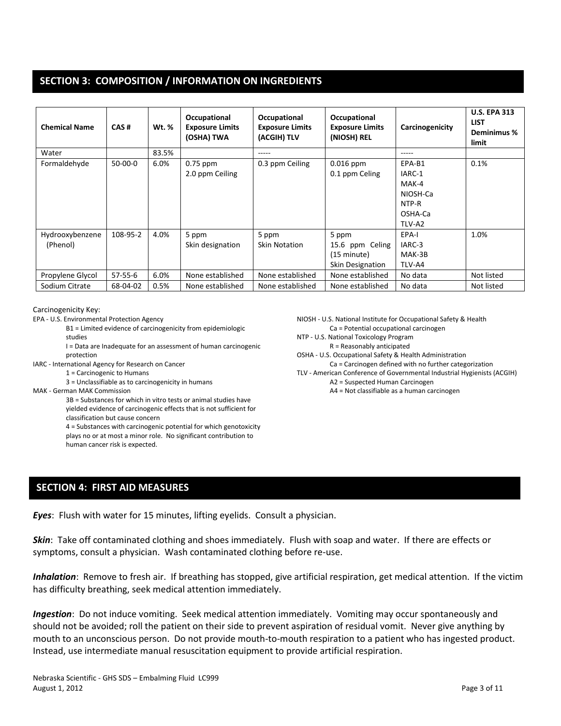## **SECTION 3: COMPOSITION / INFORMATION ON INGREDIENTS**

| <b>Chemical Name</b>        | CAS#          | <b>Wt.</b> % | Occupational<br><b>Exposure Limits</b><br>(OSHA) TWA | Occupational<br><b>Exposure Limits</b><br>(ACGIH) TLV | Occupational<br><b>Exposure Limits</b><br>(NIOSH) REL       | Carcinogenicity                                                     | <b>U.S. EPA 313</b><br><b>LIST</b><br>Deminimus %<br>limit |
|-----------------------------|---------------|--------------|------------------------------------------------------|-------------------------------------------------------|-------------------------------------------------------------|---------------------------------------------------------------------|------------------------------------------------------------|
| Water                       |               | 83.5%        |                                                      | -----                                                 |                                                             |                                                                     |                                                            |
| Formaldehyde                | 50-00-0       | 6.0%         | 0.75 ppm<br>2.0 ppm Ceiling                          | 0.3 ppm Ceiling                                       | $0.016$ ppm<br>0.1 ppm Celing                               | EPA-B1<br>IARC-1<br>MAK-4<br>NIOSH-Ca<br>NTP-R<br>OSHA-Ca<br>TLV-A2 | 0.1%                                                       |
| Hydrooxybenzene<br>(Phenol) | 108-95-2      | 4.0%         | 5 ppm<br>Skin designation                            | 5 ppm<br><b>Skin Notation</b>                         | 5 ppm<br>15.6 ppm Celing<br>(15 minute)<br>Skin Designation | EPA-I<br>IARC-3<br>MAK-3B<br>TLV-A4                                 | 1.0%                                                       |
| Propylene Glycol            | $57 - 55 - 6$ | 6.0%         | None established                                     | None established                                      | None established                                            | No data                                                             | Not listed                                                 |
| Sodium Citrate              | 68-04-02      | 0.5%         | None established                                     | None established                                      | None established                                            | No data                                                             | Not listed                                                 |

#### Carcinogenicity Key:

EPA - U.S. Environmental Protection Agency

- B1 = Limited evidence of carcinogenicity from epidemiologic studies
- I = Data are Inadequate for an assessment of human carcinogenic protection
- IARC International Agency for Research on Cancer
	- 1 = Carcinogenic to Humans
		- 3 = Unclassifiable as to carcinogenicity in humans
- MAK German MAK Commission

3B = Substances for which in vitro tests or animal studies have yielded evidence of carcinogenic effects that is not sufficient for classification but cause concern 4 = Substances with carcinogenic potential for which genotoxicity plays no or at most a minor role. No significant contribution to human cancer risk is expected.

NIOSH - U.S. National Institute for Occupational Safety & Health Ca = Potential occupational carcinogen

- NTP U.S. National Toxicology Program
- R = Reasonably anticipated
- OSHA U.S. Occupational Safety & Health Administration
	- Ca = Carcinogen defined with no further categorization
- TLV American Conference of Governmental Industrial Hygienists (ACGIH)
	- A2 = Suspected Human Carcinogen
	- A4 = Not classifiable as a human carcinogen

## **SECTION 4: FIRST AID MEASURES**

*Eyes*: Flush with water for 15 minutes, lifting eyelids. Consult a physician.

*Skin*: Take off contaminated clothing and shoes immediately. Flush with soap and water. If there are effects or symptoms, consult a physician. Wash contaminated clothing before re-use.

*Inhalation*: Remove to fresh air. If breathing has stopped, give artificial respiration, get medical attention. If the victim has difficulty breathing, seek medical attention immediately.

*Ingestion*: Do not induce vomiting. Seek medical attention immediately. Vomiting may occur spontaneously and should not be avoided; roll the patient on their side to prevent aspiration of residual vomit. Never give anything by mouth to an unconscious person. Do not provide mouth-to-mouth respiration to a patient who has ingested product. Instead, use intermediate manual resuscitation equipment to provide artificial respiration.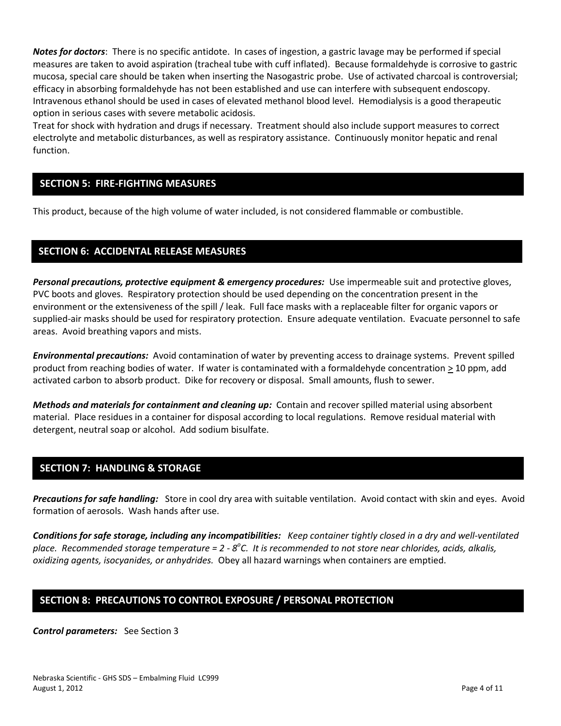*Notes for doctors*: There is no specific antidote. In cases of ingestion, a gastric lavage may be performed if special measures are taken to avoid aspiration (tracheal tube with cuff inflated). Because formaldehyde is corrosive to gastric mucosa, special care should be taken when inserting the Nasogastric probe. Use of activated charcoal is controversial; efficacy in absorbing formaldehyde has not been established and use can interfere with subsequent endoscopy. Intravenous ethanol should be used in cases of elevated methanol blood level. Hemodialysis is a good therapeutic option in serious cases with severe metabolic acidosis.

Treat for shock with hydration and drugs if necessary. Treatment should also include support measures to correct electrolyte and metabolic disturbances, as well as respiratory assistance. Continuously monitor hepatic and renal function.

## **SECTION 5: FIRE-FIGHTING MEASURES**

This product, because of the high volume of water included, is not considered flammable or combustible.

## **SECTION 6: ACCIDENTAL RELEASE MEASURES**

**Personal precautions, protective equipment & emergency procedures:** Use impermeable suit and protective gloves, PVC boots and gloves. Respiratory protection should be used depending on the concentration present in the environment or the extensiveness of the spill / leak. Full face masks with a replaceable filter for organic vapors or supplied-air masks should be used for respiratory protection. Ensure adequate ventilation. Evacuate personnel to safe areas. Avoid breathing vapors and mists.

*Environmental precautions:* Avoid contamination of water by preventing access to drainage systems. Prevent spilled product from reaching bodies of water. If water is contaminated with a formaldehyde concentration  $\geq 10$  ppm, add activated carbon to absorb product. Dike for recovery or disposal. Small amounts, flush to sewer.

*Methods and materials for containment and cleaning up:* Contain and recover spilled material using absorbent material. Place residues in a container for disposal according to local regulations. Remove residual material with detergent, neutral soap or alcohol. Add sodium bisulfate.

## **SECTION 7: HANDLING & STORAGE**

*Precautions for safe handling:* Store in cool dry area with suitable ventilation. Avoid contact with skin and eyes. Avoid formation of aerosols. Wash hands after use.

*Conditions for safe storage, including any incompatibilities: Keep container tightly closed in a dry and well-ventilated*  place. Recommended storage temperature = 2 - 8°C. It is recommended to not store near chlorides, acids, alkalis, *oxidizing agents, isocyanides, or anhydrides.* Obey all hazard warnings when containers are emptied.

## **SECTION 8: PRECAUTIONS TO CONTROL EXPOSURE / PERSONAL PROTECTION**

*Control parameters:* See Section 3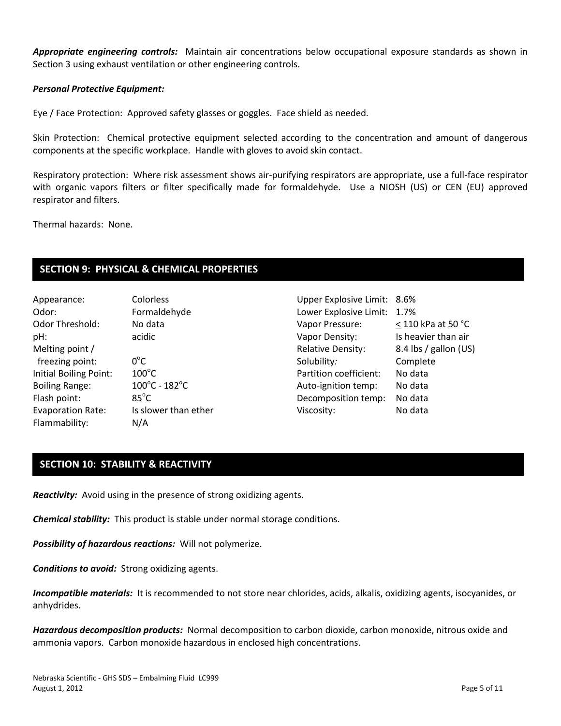*Appropriate engineering controls:* Maintain air concentrations below occupational exposure standards as shown in Section 3 using exhaust ventilation or other engineering controls.

#### *Personal Protective Equipment:*

Eye / Face Protection: Approved safety glasses or goggles. Face shield as needed.

Skin Protection: Chemical protective equipment selected according to the concentration and amount of dangerous components at the specific workplace. Handle with gloves to avoid skin contact.

Respiratory protection: Where risk assessment shows air-purifying respirators are appropriate, use a full-face respirator with organic vapors filters or filter specifically made for formaldehyde. Use a NIOSH (US) or CEN (EU) approved respirator and filters.

Thermal hazards: None.

## **SECTION 9: PHYSICAL & CHEMICAL PROPERTIES**

| Appearance:              | Colorless                          |
|--------------------------|------------------------------------|
| Odor:                    | Formaldehyde                       |
| Odor Threshold:          | No data                            |
| pH:                      | acidic                             |
| Melting point /          |                                    |
| freezing point:          | $0^{\circ}$ C                      |
| Initial Boiling Point:   | $100^{\circ}$ C                    |
| <b>Boiling Range:</b>    | $100^{\circ}$ C - 182 $^{\circ}$ C |
| Flash point:             | $85^{\circ}$ C                     |
| <b>Evaporation Rate:</b> | Is slower than ether               |
| Flammability:            | N/A                                |
|                          |                                    |

Upper Explosive Limit: 8.6% Lower Explosive Limit: 1.7% Vapor Pressure: < 110 kPa at 50 °C Vapor Density: Is heavier than air Relative Density: 8.4 lbs / gallon (US) Solubility*:* Complete Partition coefficient: No data Auto-ignition temp: No data Decomposition temp: No data Viscosity: No data

## **SECTION 10: STABILITY & REACTIVITY**

*Reactivity:* Avoid using in the presence of strong oxidizing agents.

*Chemical stability:* This product is stable under normal storage conditions.

*Possibility of hazardous reactions:* Will not polymerize.

*Conditions to avoid:* Strong oxidizing agents.

*Incompatible materials:* It is recommended to not store near chlorides, acids, alkalis, oxidizing agents, isocyanides, or anhydrides.

*Hazardous decomposition products:* Normal decomposition to carbon dioxide, carbon monoxide, nitrous oxide and ammonia vapors. Carbon monoxide hazardous in enclosed high concentrations.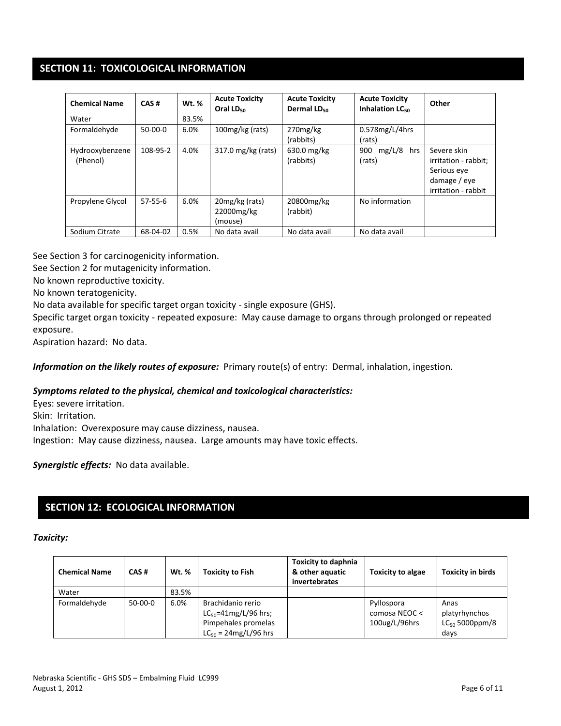## **SECTION 11: TOXICOLOGICAL INFORMATION**

| <b>Chemical Name</b>        | CAS#          | Wt. % | <b>Acute Toxicity</b><br>Oral $LD_{50}$ | <b>Acute Toxicity</b><br>Dermal LD <sub>50</sub> | <b>Acute Toxicity</b><br>Inhalation $LC_{50}$ | Other                                                                                     |
|-----------------------------|---------------|-------|-----------------------------------------|--------------------------------------------------|-----------------------------------------------|-------------------------------------------------------------------------------------------|
| Water                       |               | 83.5% |                                         |                                                  |                                               |                                                                                           |
| Formaldehyde                | $50-00-0$     | 6.0%  | 100mg/kg (rats)                         | 270mg/kg<br>(rabbits)                            | $0.578$ mg/L/4hrs<br>(rats)                   |                                                                                           |
| Hydrooxybenzene<br>(Phenol) | 108-95-2      | 4.0%  | 317.0 mg/kg (rats)                      | 630.0 mg/kg<br>(rabbits)                         | $mg/L/8$ hrs<br>900<br>(rats)                 | Severe skin<br>irritation - rabbit;<br>Serious eye<br>damage / eye<br>irritation - rabbit |
| Propylene Glycol            | $57 - 55 - 6$ | 6.0%  | 20mg/kg (rats)<br>22000mg/kg<br>(mouse) | 20800mg/kg<br>(rabbit)                           | No information                                |                                                                                           |
| Sodium Citrate              | 68-04-02      | 0.5%  | No data avail                           | No data avail                                    | No data avail                                 |                                                                                           |

See Section 3 for carcinogenicity information.

See Section 2 for mutagenicity information.

No known reproductive toxicity.

No known teratogenicity.

No data available for specific target organ toxicity - single exposure (GHS).

Specific target organ toxicity - repeated exposure: May cause damage to organs through prolonged or repeated exposure.

Aspiration hazard: No data.

*Information on the likely routes of exposure:* Primary route(s) of entry: Dermal, inhalation, ingestion.

#### *Symptoms related to the physical, chemical and toxicological characteristics:*

Eyes: severe irritation. Skin: Irritation. Inhalation: Overexposure may cause dizziness, nausea. Ingestion: May cause dizziness, nausea. Large amounts may have toxic effects.

*Synergistic effects:* No data available.

## **SECTION 12: ECOLOGICAL INFORMATION**

#### *Toxicity:*

| <b>Chemical Name</b> | CAS#      | <b>Wt. %</b> | <b>Toxicity to Fish</b>                                                                                              | <b>Toxicity to daphnia</b><br>& other aquatic<br>invertebrates | <b>Toxicity to algae</b>                     | <b>Toxicity in birds</b>                             |
|----------------------|-----------|--------------|----------------------------------------------------------------------------------------------------------------------|----------------------------------------------------------------|----------------------------------------------|------------------------------------------------------|
| Water                |           | 83.5%        |                                                                                                                      |                                                                |                                              |                                                      |
| Formaldehyde         | $50-00-0$ | 6.0%         | Brachidanio rerio<br>$LC_{50} = 41 \text{mg/L}/96 \text{ hrs}$ ;<br>Pimpehales promelas<br>$LC_{50} = 24mg/L/96$ hrs |                                                                | Pyllospora<br>comosa NEOC <<br>100ug/L/96hrs | Anas<br>platyrhynchos<br>$LC_{50}$ 5000ppm/8<br>days |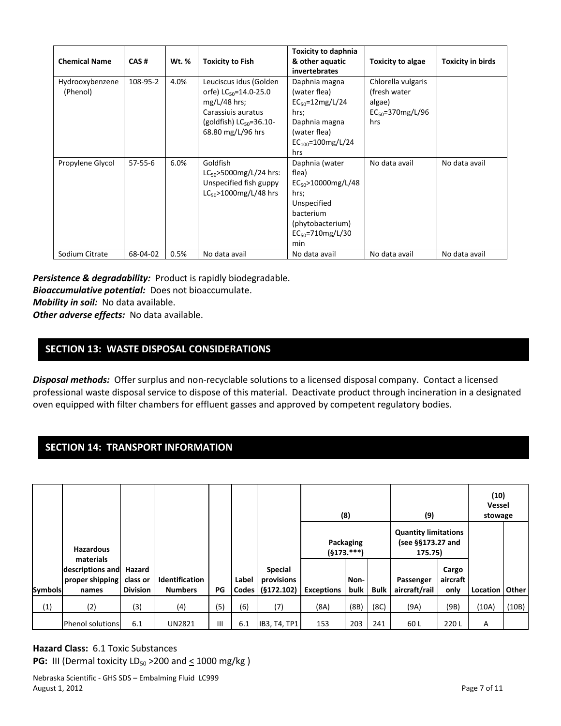| <b>Chemical Name</b>        | CAS#          | Wt. % | <b>Toxicity to Fish</b>                                                                                                                                | <b>Toxicity to daphnia</b><br>& other aquatic<br>invertebrates                                                                                 | Toxicity to algae                                                               | <b>Toxicity in birds</b> |
|-----------------------------|---------------|-------|--------------------------------------------------------------------------------------------------------------------------------------------------------|------------------------------------------------------------------------------------------------------------------------------------------------|---------------------------------------------------------------------------------|--------------------------|
| Hydrooxybenzene<br>(Phenol) | 108-95-2      | 4.0%  | Leuciscus idus (Golden<br>orfe) $LC_{50} = 14.0 - 25.0$<br>$mg/L/48$ hrs;<br>Carassiuis auratus<br>(goldfish) $LC_{50} = 36.10 -$<br>68.80 mg/L/96 hrs | Daphnia magna<br>(water flea)<br>$EC_{50} = 12 \text{mg/L}/24$<br>hrs;<br>Daphnia magna<br>(water flea)<br>$EC_{100} = 100$ mg/L/24<br>hrs     | Chlorella vulgaris<br>(fresh water)<br>algae)<br>$EC_{50} = 370$ mg/L/96<br>hrs |                          |
| Propylene Glycol            | $57 - 55 - 6$ | 6.0%  | Goldfish<br>$LC_{50}$ >5000mg/L/24 hrs:<br>Unspecified fish guppy<br>$LC_{50} > 1000$ mg/L/48 hrs                                                      | Daphnia (water<br>flea)<br>$EC_{50} > 10000$ mg/L/48<br>hrs;<br>Unspecified<br>bacterium<br>(phytobacterium)<br>$EC_{50} = 710$ mg/L/30<br>min | No data avail                                                                   | No data avail            |
| Sodium Citrate              | 68-04-02      | 0.5%  | No data avail                                                                                                                                          | No data avail                                                                                                                                  | No data avail                                                                   | No data avail            |

*Persistence & degradability:* Product is rapidly biodegradable. *Bioaccumulative potential:* Does not bioaccumulate. *Mobility in soil:* No data available.

*Other adverse effects:* No data available.

## **SECTION 13: WASTE DISPOSAL CONSIDERATIONS**

*Disposal methods:* Offer surplus and non-recyclable solutions to a licensed disposal company. Contact a licensed professional waste disposal service to dispose of this material. Deactivate product through incineration in a designated oven equipped with filter chambers for effluent gasses and approved by competent regulatory bodies.

## **SECTION 14: TRANSPORT INFORMATION**

|                |                                                           |                 |                       |                |       |                       |                   | (8)                       |             | (9)                                                         |                   | (10)<br><b>Vessel</b><br>stowage |       |
|----------------|-----------------------------------------------------------|-----------------|-----------------------|----------------|-------|-----------------------|-------------------|---------------------------|-------------|-------------------------------------------------------------|-------------------|----------------------------------|-------|
|                | <b>Hazardous</b>                                          |                 |                       |                |       |                       |                   | Packaging<br>$(§173.***)$ |             | <b>Quantity limitations</b><br>(see §§173.27 and<br>175.75) |                   |                                  |       |
|                | materials<br>descriptions and<br>proper shipping class or | Hazard          | <b>Identification</b> |                | Label | Special<br>provisions |                   | Non-                      |             | Passenger                                                   | Cargo<br>aircraft |                                  |       |
| <b>Symbols</b> | names                                                     | <b>Division</b> | <b>Numbers</b>        | PG             | Codes | (§172.102)            | <b>Exceptions</b> | bulk                      | <b>Bulk</b> | aircraft/rail                                               | only              | Location   Other                 |       |
| (1)            | (2)                                                       | (3)             | (4)                   | (5)            | (6)   | (7)                   | (8A)              | (8B)                      | (8C)        | (9A)                                                        | (9B)              | (10A)                            | (10B) |
|                | <b>Phenol solutions</b>                                   | 6.1             | <b>UN2821</b>         | $\mathbf{III}$ | 6.1   | IB3, T4, TP1          | 153               | 203                       | 241         | 60 L                                                        | 220L              | A                                |       |

**Hazard Class:** 6.1 Toxic Substances **PG:** III (Dermal toxicity  $LD_{50} > 200$  and  $\leq 1000$  mg/kg)

Nebraska Scientific - GHS SDS – Embalming Fluid LC999 August 1, 2012 **Page 7 of 11**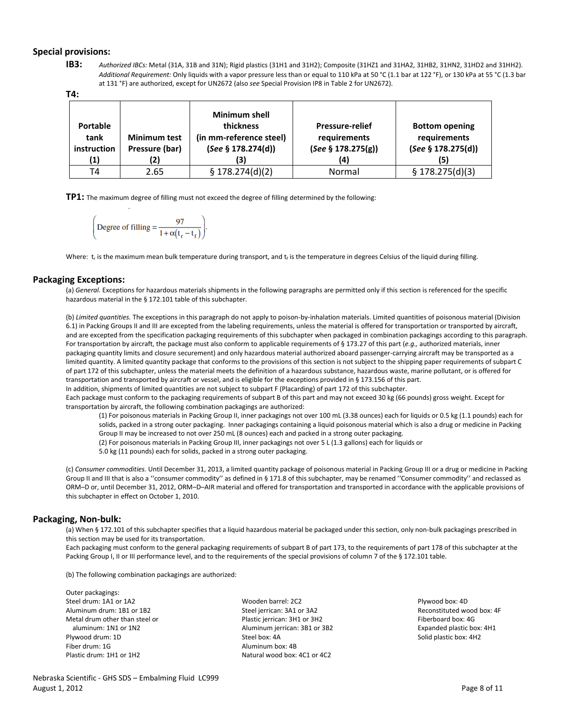#### **Special provisions:**

**IB3:** *Authorized IBCs:* Metal (31A, 31B and 31N); Rigid plastics (31H1 and 31H2); Composite (31HZ1 and 31HA2, 31HB2, 31HN2, 31HD2 and 31HH2). *Additional Requirement:* Only liquids with a vapor pressure less than or equal to 110 kPa at 50 °C (1.1 bar at 122 °F), or 130 kPa at 55 °C (1.3 bar at 131 °F) are authorized, except for UN2672 (also *see* Special Provision IP8 in Table 2 for UN2672).

**T4:**

| <b>Portable</b><br>tank<br>instruction<br>(1) | <b>Minimum test</b><br>Pressure (bar)<br>(2) | <b>Minimum shell</b><br>thickness<br>(in mm-reference steel)<br>(See § 178.274(d))<br>(3) | <b>Pressure-relief</b><br>requirements<br>(See § 178.275(g))<br>(4) | <b>Bottom opening</b><br>requirements<br>(See § 178.275(d))<br>(5) |
|-----------------------------------------------|----------------------------------------------|-------------------------------------------------------------------------------------------|---------------------------------------------------------------------|--------------------------------------------------------------------|
| T4                                            | 2.65                                         | \$178.274(d)(2)                                                                           | Normal                                                              | \$178.275(d)(3)                                                    |

**TP1:** The maximum degree of filling must not exceed the degree of filling determined by the following:

$$
\left(\text{Degree of filling} = \frac{97}{1 + \alpha(t_r - t_f)}\right)
$$

Where:  $t_r$  is the maximum mean bulk temperature during transport, and  $t_f$  is the temperature in degrees Celsius of the liquid during filling.

#### **Packaging Exceptions:**

(a) *General.* Exceptions for hazardous materials shipments in the following paragraphs are permitted only if this section is referenced for the specific hazardous material in the § 172.101 table of this subchapter.

(b) *Limited quantities.* The exceptions in this paragraph do not apply to poison-by-inhalation materials. Limited quantities of poisonous material (Division 6.1) in Packing Groups II and III are excepted from the labeling requirements, unless the material is offered for transportation or transported by aircraft, and are excepted from the specification packaging requirements of this subchapter when packaged in combination packagings according to this paragraph. For transportation by aircraft, the package must also conform to applicable requirements of § 173.27 of this part (*e.g.,* authorized materials, inner packaging quantity limits and closure securement) and only hazardous material authorized aboard passenger-carrying aircraft may be transported as a limited quantity. A limited quantity package that conforms to the provisions of this section is not subject to the shipping paper requirements of subpart C of part 172 of this subchapter, unless the material meets the definition of a hazardous substance, hazardous waste, marine pollutant, or is offered for transportation and transported by aircraft or vessel, and is eligible for the exceptions provided in § 173.156 of this part. In addition, shipments of limited quantities are not subject to subpart F (Placarding) of part 172 of this subchapter. Each package must conform to the packaging requirements of subpart B of this part and may not exceed 30 kg (66 pounds) gross weight. Except for

transportation by aircraft, the following combination packagings are authorized:

(1) For poisonous materials in Packing Group II, inner packagings not over 100 mL (3.38 ounces) each for liquids or 0.5 kg (1.1 pounds) each for solids, packed in a strong outer packaging. Inner packagings containing a liquid poisonous material which is also a drug or medicine in Packing Group II may be increased to not over 250 mL (8 ounces) each and packed in a strong outer packaging.

(2) For poisonous materials in Packing Group III, inner packagings not over 5 L (1.3 gallons) each for liquids or

5.0 kg (11 pounds) each for solids, packed in a strong outer packaging.

(c) *Consumer commodities.* Until December 31, 2013, a limited quantity package of poisonous material in Packing Group III or a drug or medicine in Packing Group II and III that is also a ''consumer commodity'' as defined in § 171.8 of this subchapter, may be renamed ''Consumer commodity'' and reclassed as ORM–D or, until December 31, 2012, ORM–D–AIR material and offered for transportation and transported in accordance with the applicable provisions of this subchapter in effect on October 1, 2010.

#### **Packaging, Non-bulk:**

(a) When § 172.101 of this subchapter specifies that a liquid hazardous material be packaged under this section, only non-bulk packagings prescribed in this section may be used for its transportation.

Each packaging must conform to the general packaging requirements of subpart B of part 173, to the requirements of part 178 of this subchapter at the Packing Group I, II or III performance level, and to the requirements of the special provisions of column 7 of the § 172.101 table.

(b) The following combination packagings are authorized:

| Outer packagings:              |                               |                            |
|--------------------------------|-------------------------------|----------------------------|
| Steel drum: 1A1 or 1A2         | Wooden barrel: 2C2            | Plywood box: 4D            |
| Aluminum drum: 1B1 or 1B2      | Steel jerrican: 3A1 or 3A2    | Reconstituted wood box: 4F |
| Metal drum other than steel or | Plastic jerrican: 3H1 or 3H2  | Fiberboard box: 4G         |
| aluminum: 1N1 or 1N2           | Aluminum jerrican: 3B1 or 3B2 | Expanded plastic box: 4H1  |
| Plywood drum: 1D               | Steel box: 4A                 | Solid plastic box: 4H2     |
| Fiber drum: 1G                 | Aluminum box: 4B              |                            |
| Plastic drum: 1H1 or 1H2       | Natural wood box: 4C1 or 4C2  |                            |

Nebraska Scientific - GHS SDS – Embalming Fluid LC999 August 1, 2012 Page 8 of 11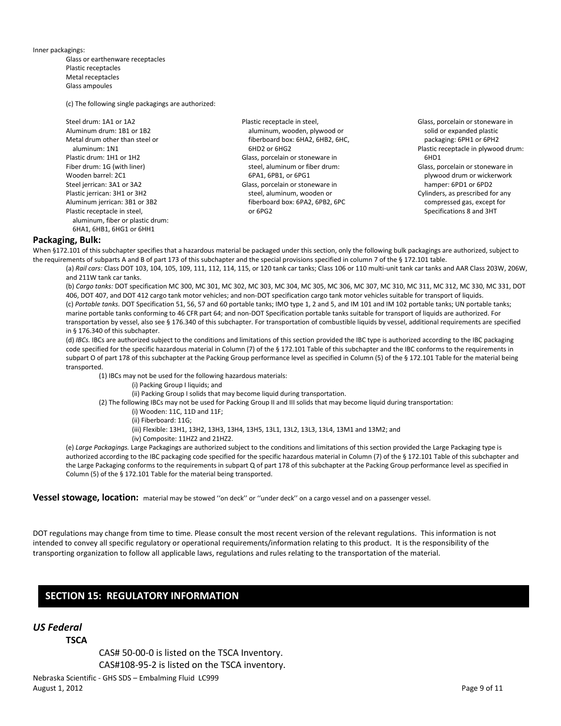Inner packagings:

Glass or earthenware receptacles Plastic receptacles Metal receptacles Glass ampoules

(c) The following single packagings are authorized:

| Steel drum: 1A1 or 1A2           |
|----------------------------------|
| Aluminum drum: 1B1 or 1B2        |
| Metal drum other than steel or   |
| aluminum: 1N1                    |
| Plastic drum: 1H1 or 1H2         |
| Fiber drum: 1G (with liner)      |
| Wooden barrel: 2C1               |
| Steel jerrican: 3A1 or 3A2       |
| Plastic jerrican: 3H1 or 3H2     |
| Aluminum jerrican: 3B1 or 3B2    |
| Plastic receptacle in steel,     |
| aluminum, fiber or plastic drum: |
| 6HA1, 6HB1, 6HG1 or 6HH1         |

- Plastic receptacle in steel, aluminum, wooden, plywood or fiberboard box: 6HA2, 6HB2, 6HC, 6HD2 or 6HG2 Glass, porcelain or stoneware in steel, aluminum or fiber drum: 6PA1, 6PB1, or 6PG1 Glass, porcelain or stoneware in steel, aluminum, wooden or fiberboard box: 6PA2, 6PB2, 6PC or 6PG2
- Glass, porcelain or stoneware in solid or expanded plastic packaging: 6PH1 or 6PH2 Plastic receptacle in plywood drum: 6HD1 Glass, porcelain or stoneware in plywood drum or wickerwork hamper: 6PD1 or 6PD2 Cylinders, as prescribed for any compressed gas, except for Specifications 8 and 3HT

#### **Packaging, Bulk:**

When §172.101 of this subchapter specifies that a hazardous material be packaged under this section, only the following bulk packagings are authorized, subject to the requirements of subparts A and B of part 173 of this subchapter and the special provisions specified in column 7 of the § 172.101 table.

(a) *Rail cars:* Class DOT 103, 104, 105, 109, 111, 112, 114, 115, or 120 tank car tanks; Class 106 or 110 multi-unit tank car tanks and AAR Class 203W, 206W, and 211W tank car tanks.

(b) *Cargo tanks:* DOT specification MC 300, MC 301, MC 302, MC 303, MC 304, MC 305, MC 306, MC 307, MC 310, MC 311, MC 312, MC 330, MC 331, DOT 406, DOT 407, and DOT 412 cargo tank motor vehicles; and non-DOT specification cargo tank motor vehicles suitable for transport of liquids. (c) *Portable tanks.* DOT Specification 51, 56, 57 and 60 portable tanks; IMO type 1, 2 and 5, and IM 101 and IM 102 portable tanks; UN portable tanks; marine portable tanks conforming to 46 CFR part 64; and non-DOT Specification portable tanks suitable for transport of liquids are authorized. For transportation by vessel, also see § 176.340 of this subchapter. For transportation of combustible liquids by vessel, additional requirements are specified in § 176.340 of this subchapter.

(d) *IBCs.* IBCs are authorized subject to the conditions and limitations of this section provided the IBC type is authorized according to the IBC packaging code specified for the specific hazardous material in Column (7) of the § 172.101 Table of this subchapter and the IBC conforms to the requirements in subpart O of part 178 of this subchapter at the Packing Group performance level as specified in Column (5) of the § 172.101 Table for the material being transported.

(1) IBCs may not be used for the following hazardous materials:

(i) Packing Group I liquids; and

(ii) Packing Group I solids that may become liquid during transportation.

(2) The following IBCs may not be used for Packing Group II and III solids that may become liquid during transportation:

(i) Wooden: 11C, 11D and 11F;

(ii) Fiberboard: 11G;

(iii) Flexible: 13H1, 13H2, 13H3, 13H4, 13H5, 13L1, 13L2, 13L3, 13L4, 13M1 and 13M2; and

(iv) Composite: 11HZ2 and 21HZ2.

(e) *Large Packagings.* Large Packagings are authorized subject to the conditions and limitations of this section provided the Large Packaging type is authorized according to the IBC packaging code specified for the specific hazardous material in Column (7) of the § 172.101 Table of this subchapter and the Large Packaging conforms to the requirements in subpart Q of part 178 of this subchapter at the Packing Group performance level as specified in Column (5) of the § 172.101 Table for the material being transported.

**Vessel stowage, location:** material may be stowed ''on deck'' or ''under deck'' on a cargo vessel and on a passenger vessel.

DOT regulations may change from time to time. Please consult the most recent version of the relevant regulations. This information is not intended to convey all specific regulatory or operational requirements/information relating to this product. It is the responsibility of the transporting organization to follow all applicable laws, regulations and rules relating to the transportation of the material.

#### **SECTION 15: REGULATORY INFORMATION**

#### *US Federal*

**TSCA**

CAS# 50-00-0 is listed on the TSCA Inventory. CAS#108-95-2 is listed on the TSCA inventory.

Nebraska Scientific - GHS SDS – Embalming Fluid LC999 August 1, 2012 Page 9 of 11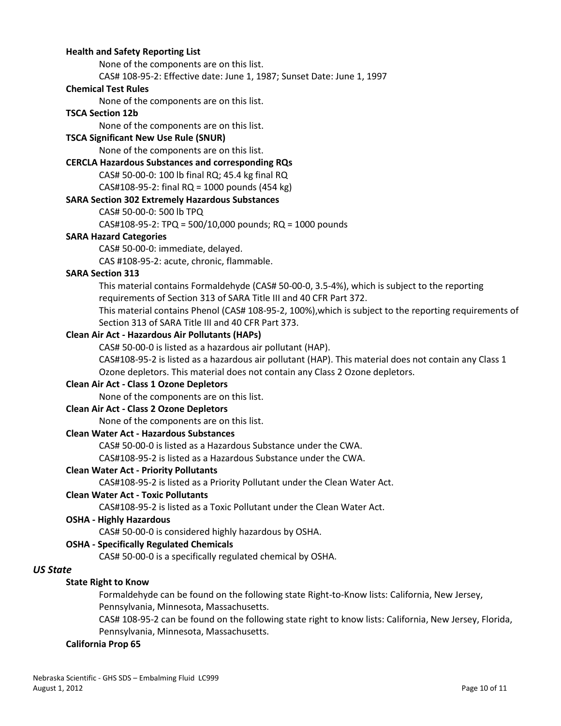#### **Health and Safety Reporting List**

None of the components are on this list.

CAS# 108-95-2: Effective date: June 1, 1987; Sunset Date: June 1, 1997

#### **Chemical Test Rules**

None of the components are on this list.

#### **TSCA Section 12b**

None of the components are on this list.

#### **TSCA Significant New Use Rule (SNUR)**

None of the components are on this list.

#### **CERCLA Hazardous Substances and corresponding RQs**

CAS# 50-00-0: 100 lb final RQ; 45.4 kg final RQ

CAS#108-95-2: final RQ = 1000 pounds (454 kg)

#### **SARA Section 302 Extremely Hazardous Substances**

CAS# 50-00-0: 500 lb TPQ

CAS#108-95-2: TPQ = 500/10,000 pounds; RQ = 1000 pounds

#### **SARA Hazard Categories**

CAS# 50-00-0: immediate, delayed.

CAS #108-95-2: acute, chronic, flammable.

#### **SARA Section 313**

This material contains Formaldehyde (CAS# 50-00-0, 3.5-4%), which is subject to the reporting requirements of Section 313 of SARA Title III and 40 CFR Part 372.

This material contains Phenol (CAS# 108-95-2, 100%),which is subject to the reporting requirements of Section 313 of SARA Title III and 40 CFR Part 373.

#### **Clean Air Act - Hazardous Air Pollutants (HAPs)**

CAS# 50-00-0 is listed as a hazardous air pollutant (HAP).

CAS#108-95-2 is listed as a hazardous air pollutant (HAP). This material does not contain any Class 1 Ozone depletors. This material does not contain any Class 2 Ozone depletors.

#### **Clean Air Act - Class 1 Ozone Depletors**

None of the components are on this list.

#### **Clean Air Act - Class 2 Ozone Depletors**

None of the components are on this list.

#### **Clean Water Act - Hazardous Substances**

CAS# 50-00-0 is listed as a Hazardous Substance under the CWA.

CAS#108-95-2 is listed as a Hazardous Substance under the CWA.

#### **Clean Water Act - Priority Pollutants**

CAS#108-95-2 is listed as a Priority Pollutant under the Clean Water Act.

#### **Clean Water Act - Toxic Pollutants**

CAS#108-95-2 is listed as a Toxic Pollutant under the Clean Water Act.

#### **OSHA - Highly Hazardous**

CAS# 50-00-0 is considered highly hazardous by OSHA.

#### **OSHA - Specifically Regulated Chemicals**

CAS# 50-00-0 is a specifically regulated chemical by OSHA.

### *US State*

#### **State Right to Know**

Formaldehyde can be found on the following state Right-to-Know lists: California, New Jersey, Pennsylvania, Minnesota, Massachusetts.

CAS# 108-95-2 can be found on the following state right to know lists: California, New Jersey, Florida, Pennsylvania, Minnesota, Massachusetts.

#### **California Prop 65**